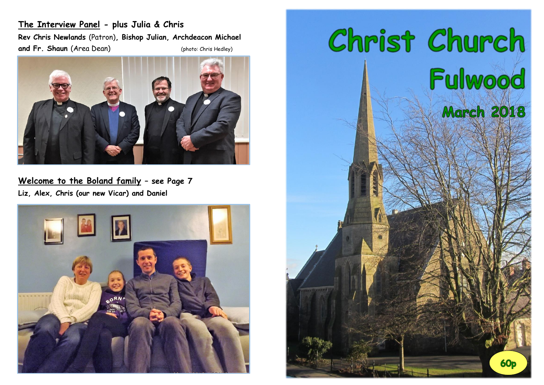**The Interview Panel - plus Julia & Chris Rev Chris Newlands** (Patron)**, Bishop Julian, Archdeacon Michael and Fr. Shaun (Area Dean)** (photo: Chris Hedley)



**Welcome to the Boland family – see Page 7 Liz, Alex, Chris (our new Vicar) and Daniel**



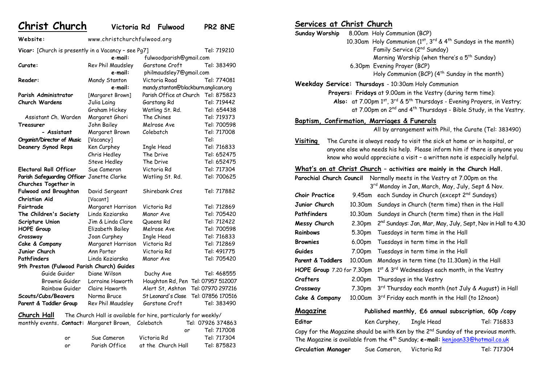**Christ Church Victoria Rd Fulwood PR2 8NE**

**Website:** www.christchurchfulwood.org Vicar: [Church is presently in a Vacancy - see Pg7] Tel: 719210 **e**-**mail:** [fulwoodparish@gmail.com](mailto:fulwoodparish@gmail.com)

| Curate:                                    | Rev Phil Maudsley | Garstone Croft                                                  | Tel: 383490       |  |
|--------------------------------------------|-------------------|-----------------------------------------------------------------|-------------------|--|
|                                            | e-mail:           | philmaudsley7@gmail.com                                         |                   |  |
| Reader:                                    | Mandy Stanton     | Victoria Road                                                   | Tel: 774081       |  |
|                                            | e-mail:           | mandy.stanton@blackburn.anglican.org                            |                   |  |
| Parish Administrator                       | [Margaret Brown]  | Parish Office at Church                                         | Tel: 875823       |  |
| Church Wardens                             | Julia Laing       | Garstang Rd                                                     | Tel: 719442       |  |
|                                            | Graham Hickey     | Watling St. Rd.                                                 | Tel: 654438       |  |
| Assistant Ch. Warden                       | Margaret Ghori    | The Chines                                                      | Tel: 719373       |  |
| Treasurer                                  | John Bailey       | Melrose Ave                                                     | Tel: 700598       |  |
| - Assistant                                | Margaret Brown    | Colebatch                                                       | Tel: 717008       |  |
| Organist/Director of Music                 | [Vacancy]         |                                                                 | Tel:              |  |
| Deanery Synod Reps                         | Ken Curphey       | Ingle Head                                                      | Tel: 716833       |  |
|                                            | Chris Hedley      | The Drive                                                       | Tel: 652475       |  |
|                                            | Steve Hedley      | The Drive                                                       | Tel: 652475       |  |
| <b>Electoral Roll Officer</b>              | Sue Cameron       | Victoria Rd                                                     | Tel: 717304       |  |
| Parish Safeguarding Officer                | Janette Clarke    | Watling St. Rd.                                                 | Tel: 700625       |  |
| Churches Together in                       |                   |                                                                 |                   |  |
| <b>Fulwood and Broughton</b>               | David Sergeant    | Shirebank Cres                                                  | Tel: 717882       |  |
| Christian Aid                              | [Vacant]          |                                                                 |                   |  |
| Fairtrade                                  | Margaret Harrison | Victoria Rd                                                     | Tel: 712869       |  |
| The Children's Society                     | Linda Koziarska   | Manor Ave                                                       | Tel: 705420       |  |
| Scripture Union                            | Jim & Linda Clare | Queens Rd                                                       | Tel: 712422       |  |
| <b>HOPE Group</b>                          | Elizabeth Bailey  | Melrose Ave                                                     | Tel: 700598       |  |
| Crossway                                   | Joan Curphey      | Ingle Head                                                      | Tel: 716833       |  |
| Cake & Company                             | Margaret Harrison | Victoria Rd                                                     | Tel: 712869       |  |
| Junior Church                              | Ann Porter        | Victoria Rd                                                     | Tel: 491775       |  |
| Pathfinders                                | Linda Koziarska   | Manor Ave                                                       | Tel: 705420       |  |
| 9th Preston (Fulwood Parish Church) Guides |                   |                                                                 |                   |  |
| Guide Guider                               | Diane Wilson      | Duchy Ave                                                       | Tel: 468555       |  |
| Brownie Guider                             | Lorraine Haworth  | Houghton Rd, Pen Tel: 07957 512007                              |                   |  |
| Rainbow Guider                             | Claire Haworth    | Alert St, Ashton                                                | Tel: 07970 297216 |  |
| Scouts/Cubs/Beavers                        | Norma Bruce       | St Leonard's Close                                              | Tel: 07856 170516 |  |
| Parent & Toddler Group                     | Rev Phil Maudsley | Garstone Croft                                                  | Tel: 383490       |  |
| <u>Church Hall</u>                         |                   | The Church Hall is available for hire, particularly for weekly/ |                   |  |
| monthly events. Contact: Margaret Brown,   |                   | Colebatch                                                       | Tel: 07926 374863 |  |
|                                            |                   | or                                                              | Tel: 717008       |  |
| or                                         | Sue Cameron       | Victoria Rd                                                     | Tel: 717304       |  |
| or                                         | Parish Office     | at the Church Hall                                              | Tel: 875823       |  |

# **Services at Christ Church**

|                                                                                                                                                                                             | <b>Sunday Worship</b><br>8.00am Holy Communion (BCP)<br>10.30am Holy Communion $(1^{st}, 3^{rd} \& 4^{th}$ Sundays in the month)                                               |                                               |                                                              |                                                                           |
|---------------------------------------------------------------------------------------------------------------------------------------------------------------------------------------------|--------------------------------------------------------------------------------------------------------------------------------------------------------------------------------|-----------------------------------------------|--------------------------------------------------------------|---------------------------------------------------------------------------|
|                                                                                                                                                                                             |                                                                                                                                                                                |                                               | Family Service (2 <sup>nd</sup> Sunday)                      |                                                                           |
|                                                                                                                                                                                             |                                                                                                                                                                                |                                               | Morning Worship (when there's a 5 <sup>th</sup> Sunday)      |                                                                           |
|                                                                                                                                                                                             |                                                                                                                                                                                | 6.30pm Evening Prayer (BCP)                   |                                                              |                                                                           |
|                                                                                                                                                                                             |                                                                                                                                                                                |                                               |                                                              | Holy Communion (BCP) (4 <sup>th</sup> Sunday in the month)                |
|                                                                                                                                                                                             |                                                                                                                                                                                |                                               | Weekday Service: Thursdays - 10:30am Holy Communion          |                                                                           |
|                                                                                                                                                                                             |                                                                                                                                                                                |                                               | Prayers: Fridays at 9.00am in the Vestry (during term time): |                                                                           |
|                                                                                                                                                                                             | Also: at 7.00pm 1st, 3rd & 5 <sup>th</sup> Thursdays - Evening Prayers, in Vestry;<br>at 7.00pm on 2 <sup>nd</sup> and 4 <sup>th</sup> Thursdays - Bible Study, in the Vestry. |                                               |                                                              |                                                                           |
|                                                                                                                                                                                             | Baptism, Confirmation, Marriages & Funerals                                                                                                                                    |                                               |                                                              |                                                                           |
|                                                                                                                                                                                             |                                                                                                                                                                                |                                               |                                                              | All by arrangement with Phil, the Curate (Tel: 383490)                    |
| Visiting<br>The Curate is always ready to visit the sick at home or in hospital, or<br>anyone else who needs his help. Please inform him if there is anyone you                             |                                                                                                                                                                                |                                               |                                                              |                                                                           |
|                                                                                                                                                                                             |                                                                                                                                                                                |                                               |                                                              | know who would appreciate a visit - a written note is especially helpful. |
|                                                                                                                                                                                             |                                                                                                                                                                                |                                               |                                                              | What's on at Christ Church - activities are mainly in the Church Hall.    |
|                                                                                                                                                                                             | Parochial Church Council                                                                                                                                                       |                                               | Normally meets in the Vestry at 7.00pm on the                |                                                                           |
|                                                                                                                                                                                             |                                                                                                                                                                                |                                               |                                                              | 3rd Monday in Jan, March, May, July, Sept & Nov.                          |
| <b>Choir Practice</b>                                                                                                                                                                       | 9.45am                                                                                                                                                                         |                                               | each Sunday in Church (except 2 <sup>nd</sup> Sundays)       |                                                                           |
|                                                                                                                                                                                             | Junior Church<br>10.30am<br>Sundays in Church (term time) then in the Hall                                                                                                     |                                               |                                                              |                                                                           |
| Pathfinders                                                                                                                                                                                 | 10.30am<br>Sundays in Church (term time) then in the Hall                                                                                                                      |                                               |                                                              |                                                                           |
|                                                                                                                                                                                             | 2 <sup>nd</sup> Sundays: Jan, Mar, May, July, Sept, Nov in Hall to 4.30<br>Messy Church<br>2.30pm                                                                              |                                               |                                                              |                                                                           |
| Rainbows                                                                                                                                                                                    | 5.30pm                                                                                                                                                                         |                                               | Tuesdays in term time in the Hall                            |                                                                           |
| <b>Brownies</b>                                                                                                                                                                             | 6.00pm                                                                                                                                                                         | Tuesdays in term time in the Hall             |                                                              |                                                                           |
| Guides                                                                                                                                                                                      | 7.00pm                                                                                                                                                                         | Tuesdays in term time in the Hall             |                                                              |                                                                           |
| Parent & Toddlers                                                                                                                                                                           | 10.00am                                                                                                                                                                        | Mondays in term time (to 11.30am) in the Hall |                                                              |                                                                           |
|                                                                                                                                                                                             | HOPE Group 7.20 for 7.30pm<br>$1st$ & 3 <sup>rd</sup> Wednesdays each month, in the Vestry                                                                                     |                                               |                                                              |                                                                           |
| Crafters                                                                                                                                                                                    | 2.00pm                                                                                                                                                                         |                                               | Thursdays in the Vestry                                      |                                                                           |
| Crossway                                                                                                                                                                                    | 7.30pm                                                                                                                                                                         |                                               |                                                              | 3rd Thursday each month (not July & August) in Hall                       |
| Cake & Company                                                                                                                                                                              | 10.00am                                                                                                                                                                        |                                               | 3rd Friday each month in the Hall (to 12noon)                |                                                                           |
| Magazine                                                                                                                                                                                    |                                                                                                                                                                                |                                               |                                                              | Published monthly, £6 annual subscription, 60p /copy                      |
| Editor                                                                                                                                                                                      |                                                                                                                                                                                | Ken Curphey,                                  | Ingle Head                                                   | Tel: 716833                                                               |
| Copy for the Magazine should be with Ken by the 2 <sup>nd</sup> Sunday of the previous month.<br>The Magazine is available from the 4 <sup>th</sup> Sunday; e-mail: kenjoan33@hotmail.co.uk |                                                                                                                                                                                |                                               |                                                              |                                                                           |
| <b>Circulation Manager</b>                                                                                                                                                                  |                                                                                                                                                                                | Sue Cameron,                                  | Victoria Rd                                                  | Tel: 717304                                                               |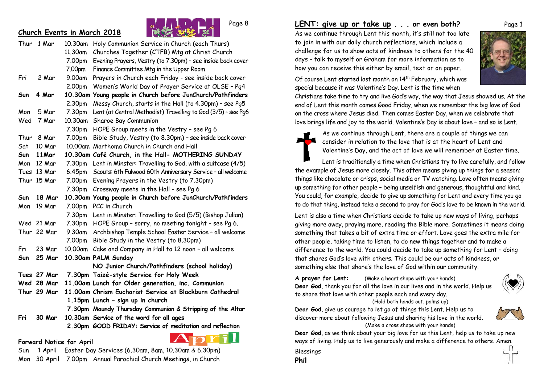### **Church Events in March 2018**



|      | Thur 1 Mar  | 10.30am | Holy Communion Service in Church (each Thurs)                 |
|------|-------------|---------|---------------------------------------------------------------|
|      |             | 11.30am | Churches Together (CTFB) Mtg at Christ Church                 |
|      |             | 7.00pm  | Evening Prayers, Vestry (to 7.30pm) - see inside back cover   |
|      |             | 7.00pm  | Finance Committee Mtg in the Upper Room                       |
| Fri  | 2 Mar       | 9.00am  | Prayers in Church each Friday - see inside back cover         |
|      |             | 2.00pm  | Women's World Day of Prayer Service at OLSE - Pg4             |
| Sun  | 4 Mar       |         | 10.30am Young people in Church before JunChurch/Pathfinders   |
|      |             | 2.30pm  | Messy Church, starts in the Hall (to 4.30pm) - see Pg5        |
| Mon  | 5 Mar       | 7.30pm  | Lent (at Central Methodist) Travelling to God (3/5) - see Pg6 |
| Wed  | 7 Mar       | 10.30am | Sharoe Bay Communion                                          |
|      |             | 7.30pm  | HOPE Group meets in the Vestry - see Pg 6                     |
| Thur | 8 Mar       | 7.00pm  | Bible Study, Vestry (to 8.30pm) - see inside back cover       |
| Sat  | 10 Mar      |         | 10.00am Marthoma Church in Church and Hall                    |
| Sun  | 11Mar       |         | 10.30am Café Church, in the Hall- MOTHERING SUNDAY            |
| Mon  | 12 Mar      | 7.30pm  | Lent in Minster: Travelling to God, with a suitcase (4/5)     |
|      | Tues 13 Mar | 6.45pm  | Scouts: 6th Fulwood 60th Anniversary Service - all welcome    |
|      | Thur 15 Mar | 7.00pm  | Evening Prayers in the Vestry (to 7.30pm)                     |
|      |             | 7.30pm  | Crossway meets in the Hall - see Pg 6                         |
| Sun  | 18 Mar      |         | 10.30am Young people in Church before JunChurch/Pathfinders   |
| Mon  | 19 Mar      | 7.00pm  | PCC in Church                                                 |
|      |             | 7.30pm  | Lent in Minster: Travelling to God (5/5) (Bishop Julian)      |
|      | Wed 21 Mar  | 7.30pm  | HOPE Group - sorry, no meeting tonight - see Pg 6.            |
|      | Thur 22 Mar | 9.30am  | Archbishop Temple School Easter Service - all welcome         |
|      |             | 7.00pm  | Bible Study in the Vestry (to 8.30pm)                         |
| Fri  | 23 Mar      |         | 10.00am Cake and Company in Hall to 12 noon - all welcome     |
| Sun  | 25 Mar      |         | 10.30am PALM Sunday                                           |
|      |             |         | NO Junior Church/Pathfinders (school holiday)                 |
|      | Tues 27 Mar |         | 7.30pm Taizé-style Service for Holy Week                      |
|      | Wed 28 Mar  |         | 11.00am Lunch for Older generation, inc. Communion            |
|      | Thur 29 Mar |         | 11.00am Chrism Eucharist Service at Blackburn Cathedral       |
|      |             |         | 1.15pm Lunch - sign up in church                              |
|      |             |         | 7.30pm Maundy Thursday Communion & Stripping of the Altar     |
| Fri  | 30 Mar      |         | 10.30am Service of the word for all ages                      |
|      |             |         | 2.30pm GOOD FRIDAY: Service of meditation and reflection      |
|      |             |         | and 200<br>$\mathbf{\Lambda}$ –                               |



Sun 1 April Easter Day Services (6.30am, 8am, 10.30am & 6.30pm) Mon 30 April 7.00pm Annual Parochial Church Meetings, in Church

**Forward Notice for April**

### **LENT: give up or take up . . . or even both?** Page 1

As we continue through Lent this month, it's still not too late to join in with our daily church reflections, which include a challenge for us to show acts of kindness to others for the 40 days – talk to myself or Graham for more information as to how you can receive this either by email, text or on paper.



Of course Lent started last month on 14<sup>th</sup> February, which was special because it was Valentine's Day. Lent is the time when

Christians take time to try and live God's way, the way that Jesus showed us. At the end of Lent this month comes Good Friday, when we remember the big love of God on the cross where Jesus died. Then comes Easter Day, when we celebrate that love brings life and joy to the world. Valentine's Day is about love – and so is Lent.

> As we continue through Lent, there are a couple of things we can consider in relation to the love that is at the heart of Lent and Valentine's Day, and the act of love we will remember at Easter time.

Lent is traditionally a time when Christians try to live carefully, and follow the example of Jesus more closely. This often means giving up things for a season; things like chocolate or crisps, social media or TV watching. Love often means giving up something for other people – being unselfish and generous, thoughtful and kind. You could, for example, decide to give up something for Lent and every time you go to do that thing, instead take a second to pray for God's love to be known in the world.

Lent is also a time when Christians decide to take up new ways of living, perhaps giving more away, praying more, reading the Bible more. Sometimes it means doing something that takes a bit of extra time or effort. Love goes the extra mile for other people, taking time to listen, to do new things together and to make a difference to the world. You could decide to take up something for Lent – doing that shares God's love with others. This could be our acts of kindness, or something else that share's the love of God within our community.

**A prayer for Lent:** (Make a heart shape with your hands) **Dear God**, thank you for all the love in our lives and in the world. Help us to share that love with other people each and every day. (Hold both hands out, palms up)



**Dear God**, give us courage to let go of things this Lent. Help us to discover more about following Jesus and sharing his love in the world. (Make a cross shape with your hands)



**Dear God**, as we think about your big love for us this Lent, help us to take up new ways of living. Help us to live generously and make a difference to others. Amen.

Blessings

**Phil**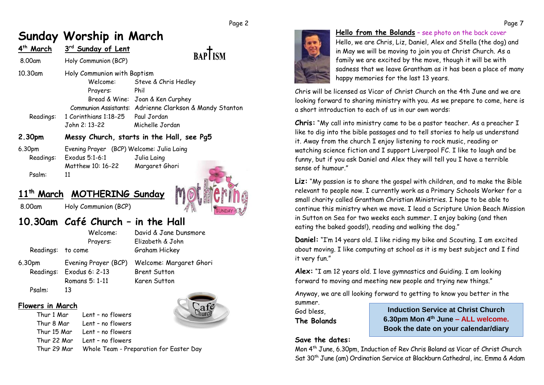#### Page 2

# **Sunday Worship in March**

| 4 <sup>th</sup> Ma <u>rch</u> | 3rd Sunday of Lent          |                                           |
|-------------------------------|-----------------------------|-------------------------------------------|
| 8.00am                        | Holy Communion (BCP)        | <b>BAPI ISM</b>                           |
| 10.30am                       | Holy Communion with Baptism |                                           |
|                               | Welcome:                    | Steve & Chris Hedley                      |
|                               | Prayers:                    | Phil                                      |
|                               |                             | Bread & Wine: Joan & Ken Curphey          |
|                               | Communion Assistants:       | Adrienne Clarkson & Mandy Stanton         |
| Readings:                     | 1 Corinthians 1:18-25       | Paul Jordan                               |
|                               | John 2: 13-22               | Michelle Jordan                           |
| 2.30pm                        |                             | Messy Church, starts in the Hall, see Pg5 |
|                               |                             |                                           |

6.30pm Evening Prayer (BCP) Welcome: Julia Laing

Readings: Exodus 5:1-6:1 Julia Laing Matthew 10: 16-22 Margaret Ghori Psalm: 11



## **11th March MOTHERING Sunday**

8.00am Holy Communion (BCP)

# **10.30am Café Church – in the Hall**

Readings: to come Graham Hickey

Thur 1 Mar Lent – no flowers

 Welcome: David & Jane Dunsmore Prayers: Elizabeth & John

6.30pm Evening Prayer (BCP) Welcome: Margaret Ghori Readings: Exodus 6: 2-13 Brent Sutton

Psalm: 13

**Flowers in March**

Romans 5: 1-11 Karen Sutton



Thur 8 Mar Lent – no flowers Thur 15 Mar Lent – no flowers Thur 22 Mar Lent – no flowers Thur 29 Mar Whole Team - Preparation for Easter Day



#### **Hello from the Bolands** – see photo on the back cover

Hello, we are Chris, Liz, Daniel, Alex and Stella (the dog) and in May we will be moving to join you at Christ Church. As a family we are excited by the move, though it will be with sadness that we leave Grantham as it has been a place of many happy memories for the last 13 years.

Chris will be licensed as Vicar of Christ Church on the 4th June and we are looking forward to sharing ministry with you. As we prepare to come, here is a short introduction to each of us in our own words:

**Chris:** "My call into ministry came to be a pastor teacher. As a preacher I like to dig into the bible passages and to tell stories to help us understand it. Away from the church I enjoy listening to rock music, reading or watching science fiction and I support Liverpool FC. I like to laugh and be funny, but if you ask Daniel and Alex they will tell you I have a terrible sense of humour."

**Liz:** "My passion is to share the gospel with children, and to make the Bible relevant to people now. I currently work as a Primary Schools Worker for a small charity called Grantham Christian Ministries. I hope to be able to continue this ministry when we move. I lead a Scripture Union Beach Mission in Sutton on Sea for two weeks each summer. I enjoy baking (and then eating the baked goods!), reading and walking the dog."

**Daniel:** "I'm 14 years old. I like riding my bike and Scouting. I am excited about moving. I like computing at school as it is my best subject and I find it very fun."

**Alex:** "I am 12 years old. I love gymnastics and Guiding. I am looking forward to moving and meeting new people and trying new things."

Anyway, we are all looking forward to getting to know you better in the

summer. God bless, **The Bolands**

**Induction Service at Christ Church 6.30pm Mon 4th June – ALL welcome. Book the date on your calendar/diary**

### **Save the dates:**

Mon 4th June, 6.30pm, Induction of Rev Chris Boland as Vicar of Christ Church Sat 30th June (am) Ordination Service at Blackburn Cathedral, inc. Emma & Adam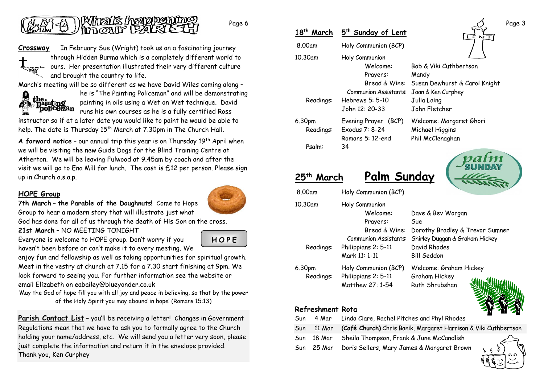

Page 6

**Crossway** In February Sue (Wright) took us on a fascinating journey through Hidden Burma which is a completely different world to ours. Her presentation illustrated their very different culture and brought the country to life.

March's meeting will be so different as we have David Wiles coming along –



he is "The Painting Policeman" and will be demonstrating painting in oils using a Wet on Wet technique. David runs his own courses as he is a fully certified Ross

instructor so if at a later date you would like to paint he would be able to help. The date is Thursday  $15<sup>th</sup>$  March at 7.30pm in The Church Hall.

**A forward notice** – our annual trip this year is on Thursday 19th April when we will be visiting the new Guide Dogs for the Blind Training Centre at Atherton. We will be leaving Fulwood at 9.45am by coach and after the visit we will go to Ena Mill for lunch. The cost is £12 per person. Please sign up in Church a.s.a.p.

### **HOPE Group**



**7th March** – **the Parable of the Doughnuts!** Come to Hope Group to hear a modern story that will illustrate just what

God has done for all of us through the death of His Son on the cross.

**21st March** – NO MEETING TONIGHT

Everyone is welcome to HOPE group. Don't worry if you haven't been before or can't make it to every meeting. We **H O P E**

enjoy fun and fellowship as well as taking opportunities for spiritual growth. Meet in the vestry at church at 7.15 for a 7.30 start finishing at 9pm. We look forward to seeing you. For further information see the website or email Elizabeth on eabailey@blueyonder.co.uk

'May the God of hope fill you with all joy and peace in believing, so that by the power of the Holy Spirit you may abound in hope' (Romans 15:13)

**Parish Contact List** - you'll be receiving a letter! Changes in Government Regulations mean that we have to ask you to formally agree to the Church holding your name/address, etc. We will send you a letter very soon, please just complete the information and return it in the envelope provided. Thank you, Ken Curphey

| 18 <sup>th</sup> March | 5 <sup>th</sup> Sunday of Lent |                               |
|------------------------|--------------------------------|-------------------------------|
| 8.00am                 | Holy Communion (BCP)           |                               |
| 10.30am                | Holy Communion                 |                               |
|                        | Welcome:                       | Bob & Viki Cuthbertson        |
|                        | Prayers:                       | Mandy                         |
|                        | Bread & Wine:                  | Susan Dewhurst & Carol Knight |
|                        | Communion Assistants:          | Joan & Ken Curphey            |
| Readings:              | Hebrews 5: 5-10                | Julia Laing                   |
|                        | John 12: 20-33                 | John Fletcher                 |
| 6.30pm                 | Evening Prayer (BCP)           | Welcome: Margaret Ghori       |
| Readings:              | Exodus 7: 8-24                 | Michael Higgins               |
|                        | Romans 5: 12-end               | Phil McClenaghan              |
| Psalm:                 | 34                             |                               |



| 25 <sup>th</sup> March                  | Palm Sunday                                                                                                                     | 18 1 1 7 <b>1 N</b><br>The                                                                                                   |
|-----------------------------------------|---------------------------------------------------------------------------------------------------------------------------------|------------------------------------------------------------------------------------------------------------------------------|
| 8.00am                                  | Holy Communion (BCP)                                                                                                            |                                                                                                                              |
| 10.30am<br>Readings:                    | Holy Communion<br>Welcome:<br>Prayers:<br>Bread & Wine:<br><b>Communion Assistants:</b><br>Philippians 2: 5-11<br>Mark 11: 1-11 | Dave & Bev Worgan<br>Sue<br>Dorothy Bradley & Trevor Sumner<br>Shirley Duggan & Graham Hickey<br>David Rhodes<br>Bill Seddon |
| 6.30pm<br>Readings:<br>Refreshment Rota | Holy Communion (BCP)<br>Philippians 2: 5-11<br>Matthew 27: 1-54                                                                 | Welcome: Graham Hickey<br>Graham Hickey<br>Ruth Shrubshan                                                                    |
| 4 Mar<br>Sun                            | Linda Clare, Rachel Pitches and Phyl Rhodes                                                                                     |                                                                                                                              |

- Sun 11 Mar **(Café Church)** Chris Banik, Margaret Harrison & Viki Cuthbertson
- Sun 18 Mar Sheila Thompson, Frank & June McCandlish

Sun 25 Mar Doris Sellers, Mary James & Margaret Brown



Page 3